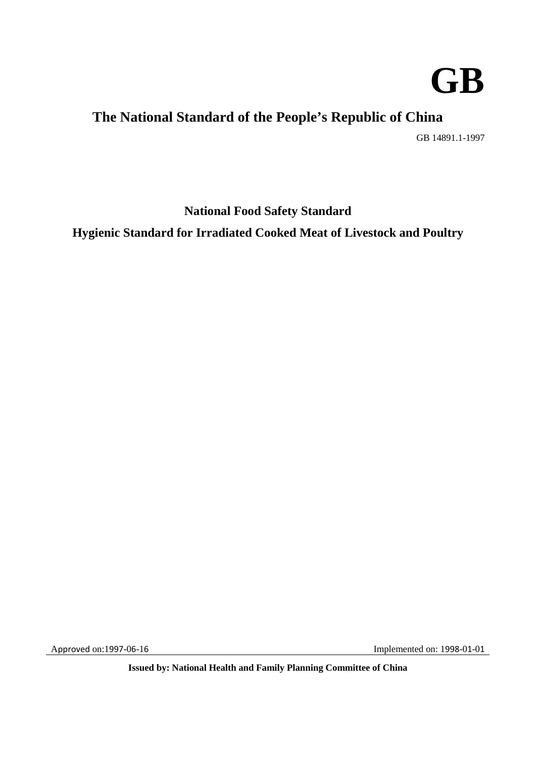

# **The National Standard of the People's Republic of China**

GB 14891.1-1997

**National Food Safety Standard** 

**Hygienic Standard for Irradiated Cooked Meat of Livestock and Poultry** 

Approved on:1997-06-16 **Implemented on:** 1998-01-01

 **Issued by: National Health and Family Planning Committee of China**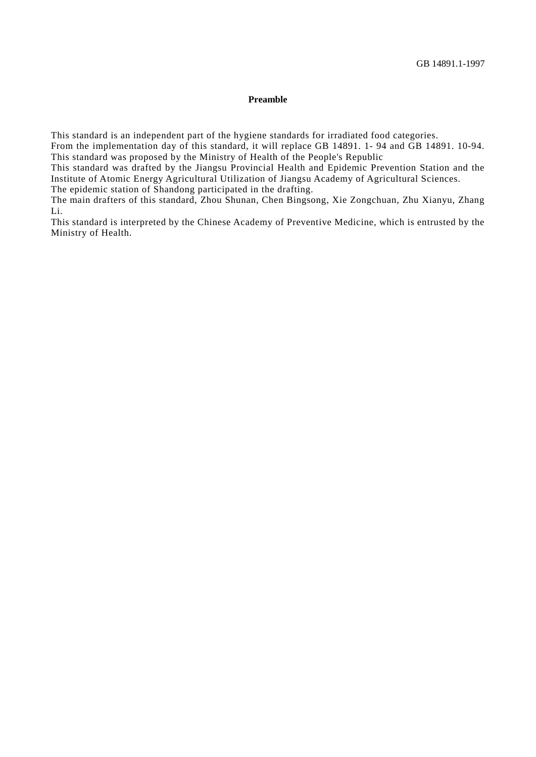#### **Preamble**

This standard is an independent part of the hygiene standards for irradiated food categories.

 From the implementation day of this standard, it will replace GB 14891. 1- 94 and GB 14891. 10-94. This standard was proposed by the Ministry of Health of the People's Republic

 Institute of Atomic Energy Agricultural Utilization of Jiangsu Academy of Agricultural Sciences. This standard was drafted by the Jiangsu Provincial Health and Epidemic Prevention Station and the

The epidemic station of Shandong participated in the drafting.

 The main drafters of this standard, Zhou Shunan, Chen Bingsong, Xie Zongchuan, Zhu Xianyu, Zhang Li.

 Ministry of Health. This standard is interpreted by the Chinese Academy of Preventive Medicine, which is entrusted by the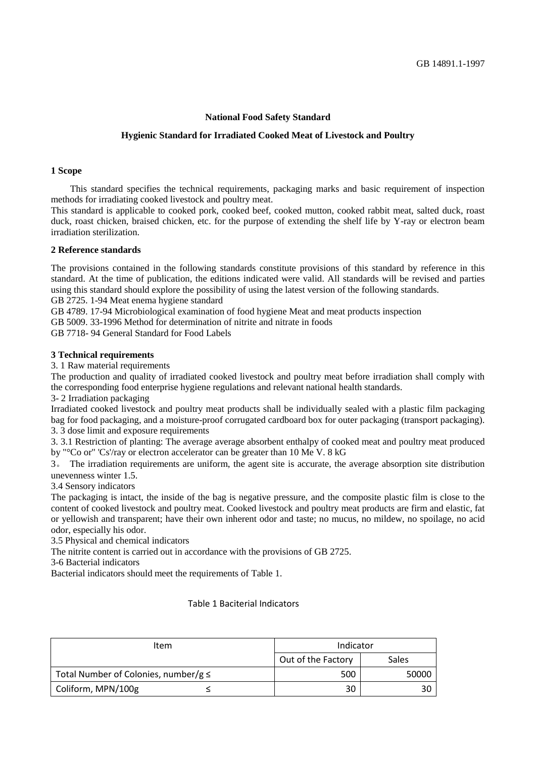# **National Food Safety Standard**

## **Hygienic Standard for Irradiated Cooked Meat of Livestock and Poultry**

## **1 Scope**

 This standard specifies the technical requirements, packaging marks and basic requirement of inspection methods for irradiating cooked livestock and poultry meat.

This standard is applicable to cooked pork, cooked beef, cooked mutton, cooked rabbit meat, salted duck, roast duck, roast chicken, braised chicken, etc. for the purpose of extending the shelf life by Y-ray or electron beam irradiation sterilization.

## **2 Reference standards**

The provisions contained in the following standards constitute provisions of this standard by reference in this standard. At the time of publication, the editions indicated were valid. All standards will be revised and parties using this standard should explore the possibility of using the latest version of the following standards. GB 2725. 1-94 Meat enema hygiene standard

GB 4789. 17-94 Microbiological examination of food hygiene Meat and meat products inspection

GB 5009. 33-1996 Method for determination of nitrite and nitrate in foods

GB 7718- 94 General Standard for Food Labels

#### **3 Technical requirements**

3. 1 Raw material requirements

 The production and quality of irradiated cooked livestock and poultry meat before irradiation shall comply with the corresponding food enterprise hygiene regulations and relevant national health standards.

3- 2 Irradiation packaging

 Irradiated cooked livestock and poultry meat products shall be individually sealed with a plastic film packaging bag for food packaging, and a moisture-proof corrugated cardboard box for outer packaging (transport packaging).

3. 3 dose limit and exposure requirements

3. 3.1 Restriction of planting: The average average absorbent enthalpy of cooked meat and poultry meat produced by "°Co or" 'Cs'/ray or electron accelerator can be greater than 10 Me V. 8 kG

3。 The irradiation requirements are uniform, the agent site is accurate, the average absorption site distribution unevenness winter 1.5.

3.4 Sensory indicators

 The packaging is intact, the inside of the bag is negative pressure, and the composite plastic film is close to the content of cooked livestock and poultry meat. Cooked livestock and poultry meat products are firm and elastic, fat or yellowish and transparent; have their own inherent odor and taste; no mucus, no mildew, no spoilage, no acid odor, especially his odor.

3.5 Physical and chemical indicators

The nitrite content is carried out in accordance with the provisions of GB 2725.

3-6 Bacterial indicators

Bacterial indicators should meet the requirements of Table 1.

### Table 1 Baciterial Indicators

| Item                                      | Indicator          |       |
|-------------------------------------------|--------------------|-------|
|                                           | Out of the Factory | Sales |
| Total Number of Colonies, number/g $\leq$ | 500                | 50000 |
| Coliform, MPN/100g                        | 30                 |       |